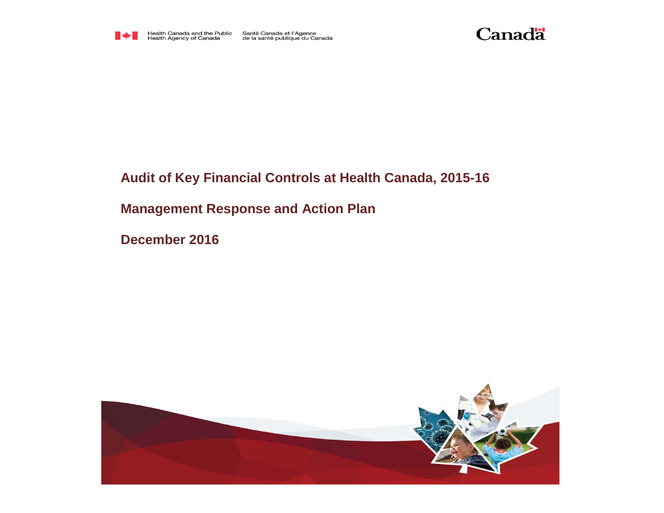

Health Canada and the Public<br>Health Agency of Canada

Santé Canada et l'Agence<br>de la santé publique du Canada



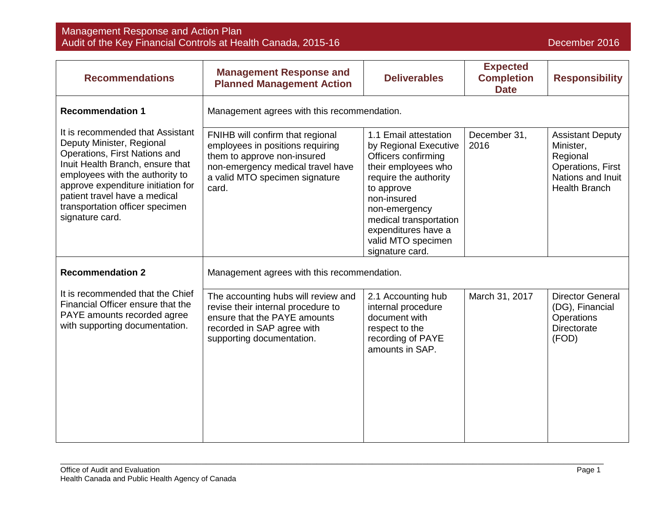| <b>Recommendations</b>                                                                                                                                                                                                                                                                             | <b>Management Response and</b><br><b>Planned Management Action</b>                                                                                                                  | <b>Deliverables</b>                                                                                                                                                                                                                                           | <b>Expected</b><br><b>Completion</b><br><b>Date</b> | <b>Responsibility</b>                                                                                              |
|----------------------------------------------------------------------------------------------------------------------------------------------------------------------------------------------------------------------------------------------------------------------------------------------------|-------------------------------------------------------------------------------------------------------------------------------------------------------------------------------------|---------------------------------------------------------------------------------------------------------------------------------------------------------------------------------------------------------------------------------------------------------------|-----------------------------------------------------|--------------------------------------------------------------------------------------------------------------------|
| <b>Recommendation 1</b>                                                                                                                                                                                                                                                                            | Management agrees with this recommendation.                                                                                                                                         |                                                                                                                                                                                                                                                               |                                                     |                                                                                                                    |
| It is recommended that Assistant<br>Deputy Minister, Regional<br>Operations, First Nations and<br>Inuit Health Branch, ensure that<br>employees with the authority to<br>approve expenditure initiation for<br>patient travel have a medical<br>transportation officer specimen<br>signature card. | FNIHB will confirm that regional<br>employees in positions requiring<br>them to approve non-insured<br>non-emergency medical travel have<br>a valid MTO specimen signature<br>card. | 1.1 Email attestation<br>by Regional Executive<br>Officers confirming<br>their employees who<br>require the authority<br>to approve<br>non-insured<br>non-emergency<br>medical transportation<br>expenditures have a<br>valid MTO specimen<br>signature card. | December 31,<br>2016                                | <b>Assistant Deputy</b><br>Minister,<br>Regional<br>Operations, First<br>Nations and Inuit<br><b>Health Branch</b> |
| <b>Recommendation 2</b>                                                                                                                                                                                                                                                                            | Management agrees with this recommendation.                                                                                                                                         |                                                                                                                                                                                                                                                               |                                                     |                                                                                                                    |
| It is recommended that the Chief<br>Financial Officer ensure that the<br>PAYE amounts recorded agree<br>with supporting documentation.                                                                                                                                                             | The accounting hubs will review and<br>revise their internal procedure to<br>ensure that the PAYE amounts<br>recorded in SAP agree with<br>supporting documentation.                | 2.1 Accounting hub<br>internal procedure<br>document with<br>respect to the<br>recording of PAYE<br>amounts in SAP.                                                                                                                                           | March 31, 2017                                      | <b>Director General</b><br>(DG), Financial<br>Operations<br><b>Directorate</b><br>(FOD)                            |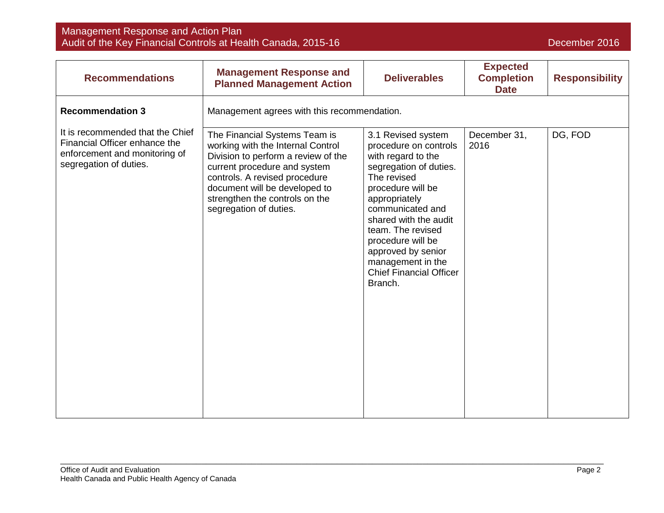| <b>Recommendations</b>                                                                                                       | <b>Management Response and</b><br><b>Planned Management Action</b>                                                                                                                                                                                                      | <b>Deliverables</b>                                                                                                                                                                                                                                                                                                             | <b>Expected</b><br><b>Completion</b><br><b>Date</b> | <b>Responsibility</b> |
|------------------------------------------------------------------------------------------------------------------------------|-------------------------------------------------------------------------------------------------------------------------------------------------------------------------------------------------------------------------------------------------------------------------|---------------------------------------------------------------------------------------------------------------------------------------------------------------------------------------------------------------------------------------------------------------------------------------------------------------------------------|-----------------------------------------------------|-----------------------|
| <b>Recommendation 3</b>                                                                                                      | Management agrees with this recommendation.                                                                                                                                                                                                                             |                                                                                                                                                                                                                                                                                                                                 |                                                     |                       |
| It is recommended that the Chief<br>Financial Officer enhance the<br>enforcement and monitoring of<br>segregation of duties. | The Financial Systems Team is<br>working with the Internal Control<br>Division to perform a review of the<br>current procedure and system<br>controls. A revised procedure<br>document will be developed to<br>strengthen the controls on the<br>segregation of duties. | 3.1 Revised system<br>procedure on controls<br>with regard to the<br>segregation of duties.<br>The revised<br>procedure will be<br>appropriately<br>communicated and<br>shared with the audit<br>team. The revised<br>procedure will be<br>approved by senior<br>management in the<br><b>Chief Financial Officer</b><br>Branch. | December 31,<br>2016                                | DG, FOD               |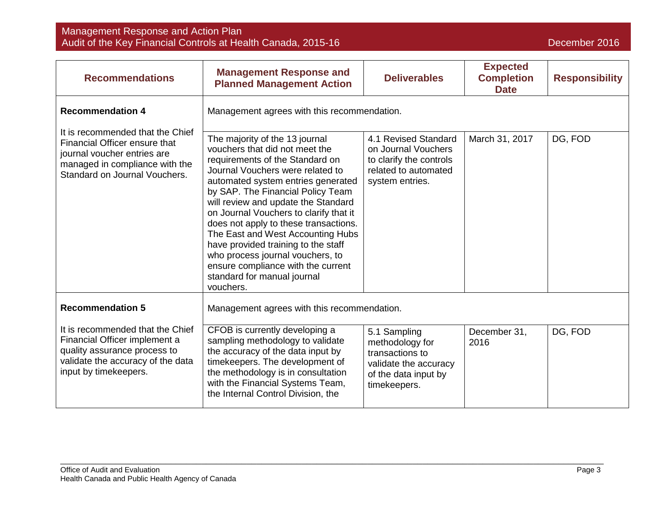| <b>Recommendations</b>                                                                                                                                              | <b>Management Response and</b><br><b>Planned Management Action</b>                                                                                                                                                                                                                                                                                                                                                                                                                                                                             | <b>Deliverables</b>                                                                                                 | <b>Expected</b><br><b>Completion</b><br><b>Date</b> | <b>Responsibility</b> |
|---------------------------------------------------------------------------------------------------------------------------------------------------------------------|------------------------------------------------------------------------------------------------------------------------------------------------------------------------------------------------------------------------------------------------------------------------------------------------------------------------------------------------------------------------------------------------------------------------------------------------------------------------------------------------------------------------------------------------|---------------------------------------------------------------------------------------------------------------------|-----------------------------------------------------|-----------------------|
| <b>Recommendation 4</b>                                                                                                                                             | Management agrees with this recommendation.                                                                                                                                                                                                                                                                                                                                                                                                                                                                                                    |                                                                                                                     |                                                     |                       |
| It is recommended that the Chief<br>Financial Officer ensure that<br>journal voucher entries are<br>managed in compliance with the<br>Standard on Journal Vouchers. | The majority of the 13 journal<br>vouchers that did not meet the<br>requirements of the Standard on<br>Journal Vouchers were related to<br>automated system entries generated<br>by SAP. The Financial Policy Team<br>will review and update the Standard<br>on Journal Vouchers to clarify that it<br>does not apply to these transactions.<br>The East and West Accounting Hubs<br>have provided training to the staff<br>who process journal vouchers, to<br>ensure compliance with the current<br>standard for manual journal<br>vouchers. | 4.1 Revised Standard<br>on Journal Vouchers<br>to clarify the controls<br>related to automated<br>system entries.   | March 31, 2017                                      | DG, FOD               |
| <b>Recommendation 5</b>                                                                                                                                             | Management agrees with this recommendation.                                                                                                                                                                                                                                                                                                                                                                                                                                                                                                    |                                                                                                                     |                                                     |                       |
| It is recommended that the Chief<br>Financial Officer implement a<br>quality assurance process to<br>validate the accuracy of the data<br>input by timekeepers.     | CFOB is currently developing a<br>sampling methodology to validate<br>the accuracy of the data input by<br>timekeepers. The development of<br>the methodology is in consultation<br>with the Financial Systems Team,<br>the Internal Control Division, the                                                                                                                                                                                                                                                                                     | 5.1 Sampling<br>methodology for<br>transactions to<br>validate the accuracy<br>of the data input by<br>timekeepers. | December 31,<br>2016                                | DG, FOD               |

\_\_\_\_\_\_\_\_\_\_\_\_\_\_\_\_\_\_\_\_\_\_\_\_\_\_\_\_\_\_\_\_\_\_\_\_\_\_\_\_\_\_\_\_\_\_\_\_\_\_\_\_\_\_\_\_\_\_\_\_\_\_\_\_\_\_\_\_\_\_\_\_\_\_\_\_\_\_\_\_\_\_\_\_\_\_\_\_\_\_\_\_\_\_\_\_\_\_\_\_\_\_\_\_\_\_\_\_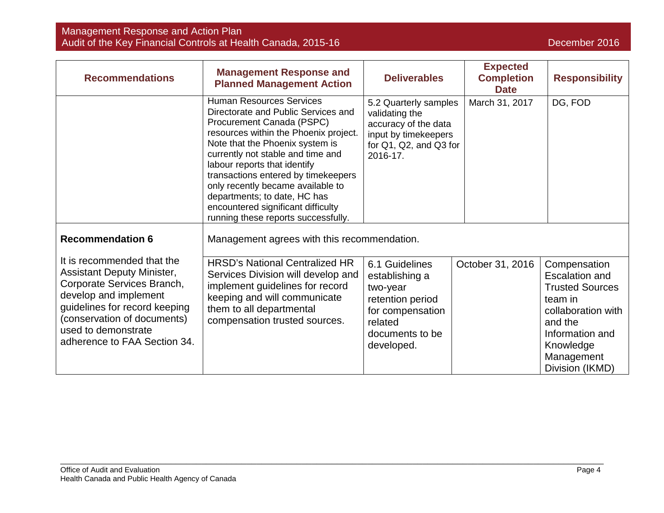| <b>Recommendations</b>                                                                                                                                                                                                                        | <b>Management Response and</b><br><b>Planned Management Action</b>                                                                                                                                                                                                                                                                                                                                                                            | <b>Deliverables</b>                                                                                                              | <b>Expected</b><br><b>Completion</b><br><b>Date</b> | <b>Responsibility</b>                                                                                                                                                        |
|-----------------------------------------------------------------------------------------------------------------------------------------------------------------------------------------------------------------------------------------------|-----------------------------------------------------------------------------------------------------------------------------------------------------------------------------------------------------------------------------------------------------------------------------------------------------------------------------------------------------------------------------------------------------------------------------------------------|----------------------------------------------------------------------------------------------------------------------------------|-----------------------------------------------------|------------------------------------------------------------------------------------------------------------------------------------------------------------------------------|
|                                                                                                                                                                                                                                               | <b>Human Resources Services</b><br>Directorate and Public Services and<br>Procurement Canada (PSPC)<br>resources within the Phoenix project.<br>Note that the Phoenix system is<br>currently not stable and time and<br>labour reports that identify<br>transactions entered by timekeepers<br>only recently became available to<br>departments; to date, HC has<br>encountered significant difficulty<br>running these reports successfully. | 5.2 Quarterly samples<br>validating the<br>accuracy of the data<br>input by timekeepers<br>for Q1, Q2, and Q3 for<br>2016-17.    | March 31, 2017                                      | DG, FOD                                                                                                                                                                      |
| <b>Recommendation 6</b>                                                                                                                                                                                                                       | Management agrees with this recommendation.                                                                                                                                                                                                                                                                                                                                                                                                   |                                                                                                                                  |                                                     |                                                                                                                                                                              |
| It is recommended that the<br><b>Assistant Deputy Minister,</b><br>Corporate Services Branch,<br>develop and implement<br>guidelines for record keeping<br>(conservation of documents)<br>used to demonstrate<br>adherence to FAA Section 34. | <b>HRSD's National Centralized HR</b><br>Services Division will develop and<br>implement guidelines for record<br>keeping and will communicate<br>them to all departmental<br>compensation trusted sources.                                                                                                                                                                                                                                   | 6.1 Guidelines<br>establishing a<br>two-year<br>retention period<br>for compensation<br>related<br>documents to be<br>developed. | October 31, 2016                                    | Compensation<br><b>Escalation and</b><br><b>Trusted Sources</b><br>team in<br>collaboration with<br>and the<br>Information and<br>Knowledge<br>Management<br>Division (IKMD) |

\_\_\_\_\_\_\_\_\_\_\_\_\_\_\_\_\_\_\_\_\_\_\_\_\_\_\_\_\_\_\_\_\_\_\_\_\_\_\_\_\_\_\_\_\_\_\_\_\_\_\_\_\_\_\_\_\_\_\_\_\_\_\_\_\_\_\_\_\_\_\_\_\_\_\_\_\_\_\_\_\_\_\_\_\_\_\_\_\_\_\_\_\_\_\_\_\_\_\_\_\_\_\_\_\_\_\_\_